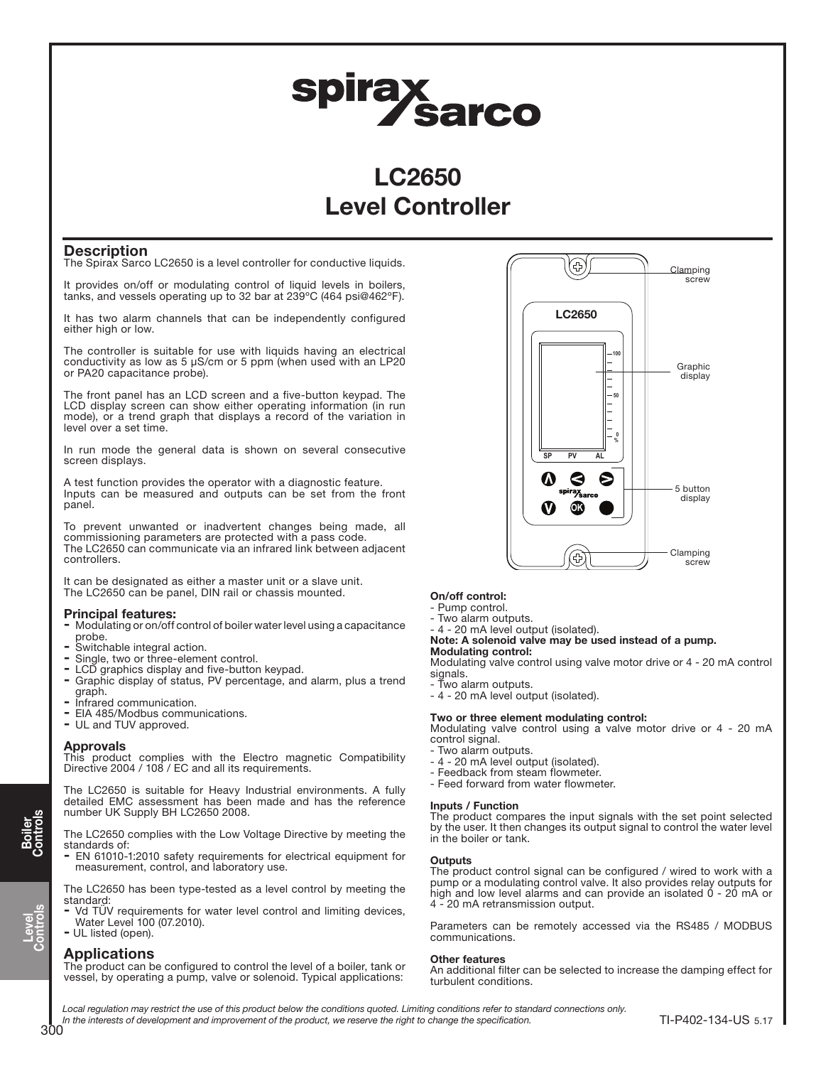# spirax<br>Sarco

# LC2650 Level Controller

## **Description**

The Spirax Sarco LC2650 is a level controller for conductive liquids.

It provides on/off or modulating control of liquid levels in boilers, tanks, and vessels operating up to 32 bar at 239ºC (464 psi@462ºF).

It has two alarm channels that can be independently configured either high or low.

The controller is suitable for use with liquids having an electrical conductivity as low as 5 μS/cm or 5 ppm (when used with an LP20 or PA20 capacitance probe).

The front panel has an LCD screen and a five-button keypad. The LCD display screen can show either operating information (in run mode), or a trend graph that displays a record of the variation in level over a set time.

In run mode the general data is shown on several consecutive screen displays.

A test function provides the operator with a diagnostic feature. Inputs can be measured and outputs can be set from the front panel.

To prevent unwanted or inadvertent changes being made, all commissioning parameters are protected with a pass code. The LC2650 can communicate via an infrared link between adjacent controllers.

It can be designated as either a master unit or a slave unit. The LC2650 can be panel, DIN rail or chassis mounted.

## Principal features:

- Modulating or on/off control of boiler water level using a capacitance probe.
- Switchable integral action.
- Single, two or three-element control.
- LCD graphics display and five-button keypad.
- Graphic display of status, PV percentage, and alarm, plus a trend graph.
- Infrared communication.
- EIA 485/Modbus communications.
- UL and TUV approved.

#### Approvals

This product complies with the Electro magnetic Compatibility Directive 2004 / 108 / EC and all its requirements.

The LC2650 is suitable for Heavy Industrial environments. A fully detailed EMC assessment has been made and has the reference number UK Supply BH LC2650 2008.

#### The LC2650 complies with the Low Voltage Directive by meeting the standards of:

- EN 61010-1:2010 safety requirements for electrical equipment for measurement, control, and laboratory use.

The LC2650 has been type-tested as a level control by meeting the standard:

- Vd TÜV requirements for water level control and limiting devices, Water Level 100 (07.2010).

# - UL listed (open).

#### Applications

The product can be configured to control the level of a boiler, tank or vessel, by operating a pump, valve or solenoid. Typical applications:

#### On/off control:

- Pump control.
- Two alarm outputs.
- 4 20 mA level output (isolated).
- Note: A solenoid valve may be used instead of a pump.

#### Modulating control:

Modulating valve control using valve motor drive or 4 - 20 mA control signals

- Two alarm outputs.

- 4 - 20 mA level output (isolated).

#### Two or three element modulating control:

Modulating valve control using a valve motor drive or 4 - 20 mA control signal.

- Two alarm outputs.
- 4 20 mA level output (isolated).
- Feedback from steam flowmeter.
- Feed forward from water flowmeter.

#### Inputs / Function

The product compares the input signals with the set point selected by the user. It then changes its output signal to control the water level in the boiler or tank.

#### **Outputs**

The product control signal can be configured / wired to work with a pump or a modulating control valve. It also provides relay outputs for high and low level alarms and can provide an isolated 0 - 20 mA or 4 - 20 mA retransmission output.

Parameters can be remotely accessed via the RS485 / MODBUS communications.

#### Other features

An additional filter can be selected to increase the damping effect for turbulent conditions.

Local regulation may restrict the use of this product below the conditions quoted. Limiting conditions refer to standard connections only. In the interests of development and improvement of the product, we reserve the right to change the specification.



65

Clamping screw

Level Controls

Boiler Controls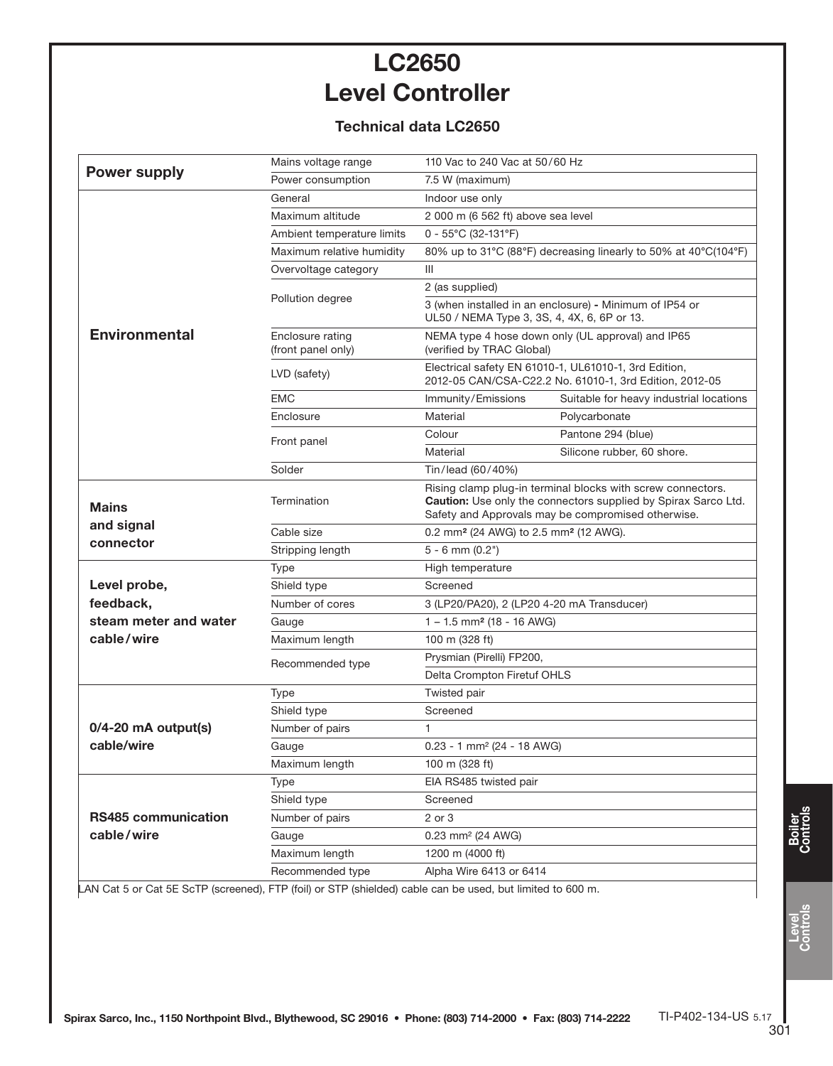# LC2650 Level Controller

## Technical data LC2650

| <b>Power supply</b>                                                                                        | Mains voltage range                    | 110 Vac to 240 Vac at 50/60 Hz                                                                                                                                                      |                                         |  |
|------------------------------------------------------------------------------------------------------------|----------------------------------------|-------------------------------------------------------------------------------------------------------------------------------------------------------------------------------------|-----------------------------------------|--|
|                                                                                                            | Power consumption                      | 7.5 W (maximum)                                                                                                                                                                     |                                         |  |
| <b>Environmental</b>                                                                                       | General                                | Indoor use only                                                                                                                                                                     |                                         |  |
|                                                                                                            | Maximum altitude                       | 2 000 m (6 562 ft) above sea level                                                                                                                                                  |                                         |  |
|                                                                                                            | Ambient temperature limits             | $0 - 55^{\circ}$ C (32-131°F)                                                                                                                                                       |                                         |  |
|                                                                                                            | Maximum relative humidity              | 80% up to 31°C (88°F) decreasing linearly to 50% at 40°C(104°F)                                                                                                                     |                                         |  |
|                                                                                                            | Overvoltage category                   | III                                                                                                                                                                                 |                                         |  |
|                                                                                                            | Pollution degree                       | 2 (as supplied)                                                                                                                                                                     |                                         |  |
|                                                                                                            |                                        | 3 (when installed in an enclosure) - Minimum of IP54 or<br>UL50 / NEMA Type 3, 3S, 4, 4X, 6, 6P or 13.                                                                              |                                         |  |
|                                                                                                            | Enclosure rating<br>(front panel only) | NEMA type 4 hose down only (UL approval) and IP65<br>(verified by TRAC Global)                                                                                                      |                                         |  |
|                                                                                                            | LVD (safety)                           | Electrical safety EN 61010-1, UL61010-1, 3rd Edition,<br>2012-05 CAN/CSA-C22.2 No. 61010-1, 3rd Edition, 2012-05                                                                    |                                         |  |
|                                                                                                            | <b>EMC</b>                             | Immunity/Emissions                                                                                                                                                                  | Suitable for heavy industrial locations |  |
|                                                                                                            | Enclosure                              | Material                                                                                                                                                                            | Polycarbonate                           |  |
|                                                                                                            | Front panel                            | Colour                                                                                                                                                                              | Pantone 294 (blue)                      |  |
|                                                                                                            |                                        | Material                                                                                                                                                                            | Silicone rubber, 60 shore.              |  |
|                                                                                                            | Solder                                 | Tin/lead (60/40%)                                                                                                                                                                   |                                         |  |
| <b>Mains</b><br>and signal<br>connector                                                                    | Termination                            | Rising clamp plug-in terminal blocks with screw connectors.<br>Caution: Use only the connectors supplied by Spirax Sarco Ltd.<br>Safety and Approvals may be compromised otherwise. |                                         |  |
|                                                                                                            | Cable size                             | 0.2 mm <sup>2</sup> (24 AWG) to 2.5 mm <sup>2</sup> (12 AWG).                                                                                                                       |                                         |  |
|                                                                                                            | Stripping length                       | $5 - 6$ mm $(0.2")$                                                                                                                                                                 |                                         |  |
|                                                                                                            | Type                                   | High temperature                                                                                                                                                                    |                                         |  |
| Level probe,                                                                                               | Shield type                            | Screened                                                                                                                                                                            |                                         |  |
| feedback,                                                                                                  | Number of cores                        | 3 (LP20/PA20), 2 (LP20 4-20 mA Transducer)                                                                                                                                          |                                         |  |
| steam meter and water                                                                                      | Gauge                                  | $1 - 1.5$ mm <sup>2</sup> (18 - 16 AWG)                                                                                                                                             |                                         |  |
| cable/wire                                                                                                 | Maximum length                         | 100 m (328 ft)                                                                                                                                                                      |                                         |  |
|                                                                                                            | Recommended type                       | Prysmian (Pirelli) FP200,                                                                                                                                                           |                                         |  |
|                                                                                                            |                                        | Delta Crompton Firetuf OHLS                                                                                                                                                         |                                         |  |
| $0/4 - 20$ mA output(s)<br>cable/wire                                                                      | Type                                   | Twisted pair                                                                                                                                                                        |                                         |  |
|                                                                                                            | Shield type                            | Screened                                                                                                                                                                            |                                         |  |
|                                                                                                            | Number of pairs                        | 1                                                                                                                                                                                   |                                         |  |
|                                                                                                            | Gauge                                  | $0.23 - 1$ mm <sup>2</sup> (24 - 18 AWG)                                                                                                                                            |                                         |  |
|                                                                                                            | Maximum length                         | 100 m (328 ft)                                                                                                                                                                      |                                         |  |
| <b>RS485 communication</b><br>cable/wire                                                                   | Type                                   | EIA RS485 twisted pair                                                                                                                                                              |                                         |  |
|                                                                                                            | Shield type                            | Screened                                                                                                                                                                            |                                         |  |
|                                                                                                            | Number of pairs                        | 2 or 3                                                                                                                                                                              |                                         |  |
|                                                                                                            | Gauge                                  | 0.23 mm <sup>2</sup> (24 AWG)                                                                                                                                                       |                                         |  |
|                                                                                                            | Maximum length                         | 1200 m (4000 ft)                                                                                                                                                                    |                                         |  |
|                                                                                                            | Recommended type                       | Alpha Wire 6413 or 6414                                                                                                                                                             |                                         |  |
| LAN Cat 5 or Cat 5E ScTP (screened), FTP (foil) or STP (shielded) cable can be used, but limited to 600 m. |                                        |                                                                                                                                                                                     |                                         |  |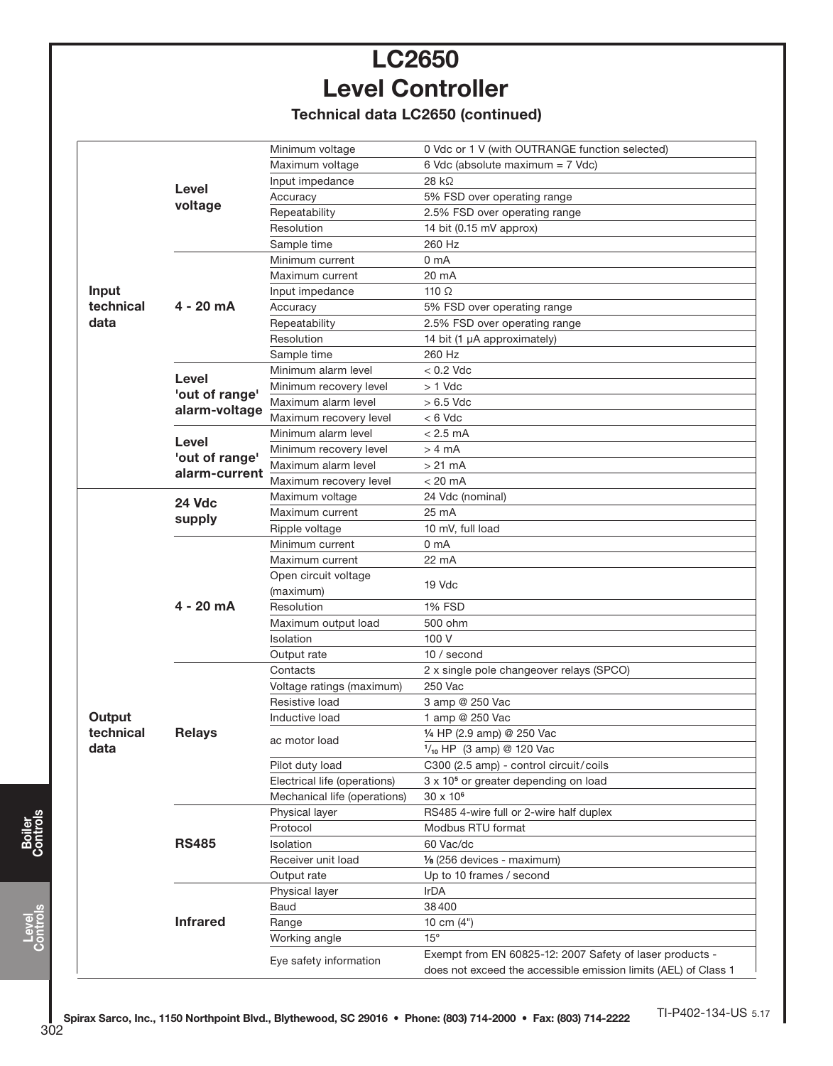# LC2650 Level Controller

Technical data LC2650 (continued)

|                            |                                                         | Minimum voltage              | 0 Vdc or 1 V (with OUTRANGE function selected)                  |  |
|----------------------------|---------------------------------------------------------|------------------------------|-----------------------------------------------------------------|--|
|                            |                                                         | Maximum voltage              | 6 Vdc (absolute maximum = 7 Vdc)                                |  |
|                            |                                                         | Input impedance              | $28 k\Omega$                                                    |  |
|                            | Level                                                   | Accuracy                     | 5% FSD over operating range                                     |  |
|                            | voltage                                                 | Repeatability                | 2.5% FSD over operating range                                   |  |
|                            |                                                         | Resolution                   | 14 bit (0.15 mV approx)                                         |  |
|                            |                                                         | Sample time                  | 260 Hz                                                          |  |
|                            |                                                         | Minimum current              | 0 <sub>m</sub> A                                                |  |
| Input<br>technical<br>data |                                                         | Maximum current              | 20 mA                                                           |  |
|                            | $4 - 20$ mA<br>Level<br>'out of range'<br>alarm-voltage | Input impedance              | 110 $\Omega$                                                    |  |
|                            |                                                         | Accuracy                     | 5% FSD over operating range                                     |  |
|                            |                                                         | Repeatability                | 2.5% FSD over operating range                                   |  |
|                            |                                                         | Resolution                   | 14 bit (1 µA approximately)                                     |  |
|                            |                                                         | Sample time                  | 260 Hz                                                          |  |
|                            |                                                         | Minimum alarm level          | $< 0.2$ Vdc                                                     |  |
|                            |                                                         | Minimum recovery level       | $> 1$ Vdc                                                       |  |
|                            |                                                         | Maximum alarm level          | $>6.5$ Vdc                                                      |  |
|                            |                                                         | Maximum recovery level       | $< 6$ Vdc                                                       |  |
|                            |                                                         | Minimum alarm level          | $< 2.5$ mA                                                      |  |
|                            | Level                                                   | Minimum recovery level       | > 4 mA                                                          |  |
|                            | 'out of range'                                          | Maximum alarm level          | $>21$ mA                                                        |  |
|                            | alarm-current                                           | Maximum recovery level       | $< 20$ mA                                                       |  |
|                            | 24 Vdc<br>supply                                        | Maximum voltage              | 24 Vdc (nominal)                                                |  |
|                            |                                                         | Maximum current              | 25 mA                                                           |  |
|                            |                                                         | Ripple voltage               | 10 mV, full load                                                |  |
|                            |                                                         | Minimum current              | 0 <sub>m</sub> A                                                |  |
|                            |                                                         | Maximum current              | 22 mA                                                           |  |
|                            |                                                         | Open circuit voltage         |                                                                 |  |
|                            | 4 - 20 mA                                               | (maximum)                    | 19 Vdc                                                          |  |
|                            |                                                         | Resolution                   | <b>1% FSD</b>                                                   |  |
|                            |                                                         | Maximum output load          | 500 ohm                                                         |  |
|                            |                                                         | Isolation                    | 100 V                                                           |  |
|                            |                                                         | Output rate                  | 10 / second                                                     |  |
|                            |                                                         | Contacts                     | 2 x single pole changeover relays (SPCO)                        |  |
|                            |                                                         | Voltage ratings (maximum)    | 250 Vac                                                         |  |
|                            |                                                         | Resistive load               | 3 amp @ 250 Vac                                                 |  |
| Output                     |                                                         | Inductive load               | 1 amp @ 250 Vac                                                 |  |
| technical<br>data          | <b>Relays</b>                                           | ac motor load                | 1/4 HP (2.9 amp) @ 250 Vac                                      |  |
|                            |                                                         |                              | $1/_{10}$ HP (3 amp) @ 120 Vac                                  |  |
|                            |                                                         | Pilot duty load              | C300 (2.5 amp) - control circuit/coils                          |  |
|                            |                                                         | Electrical life (operations) | 3 x 10 <sup>5</sup> or greater depending on load                |  |
|                            |                                                         | Mechanical life (operations) | $30 \times 10^6$                                                |  |
|                            | <b>RS485</b>                                            | Physical layer               | RS485 4-wire full or 2-wire half duplex                         |  |
|                            |                                                         | Protocol                     | Modbus RTU format                                               |  |
|                            |                                                         | Isolation                    | 60 Vac/dc                                                       |  |
|                            |                                                         | Receiver unit load           | 1/8 (256 devices - maximum)                                     |  |
|                            |                                                         | Output rate                  | Up to 10 frames / second                                        |  |
|                            |                                                         | Physical layer               | IrDA                                                            |  |
|                            |                                                         | Baud                         | 38400                                                           |  |
|                            | <b>Infrared</b>                                         | Range                        | 10 cm (4")                                                      |  |
|                            |                                                         | Working angle                | $15^{\circ}$                                                    |  |
|                            |                                                         | Eye safety information       | Exempt from EN 60825-12: 2007 Safety of laser products -        |  |
|                            |                                                         |                              | does not exceed the accessible emission limits (AEL) of Class 1 |  |

Level Controls